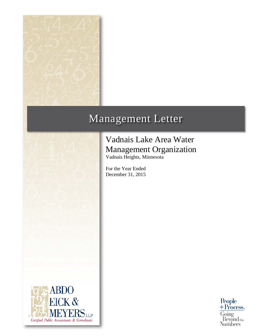

# Management Letter

# Vadnais Lake Area Water Management Organization

Vadnais Heights, Minnesota

For the Year Ended December 31, 2015



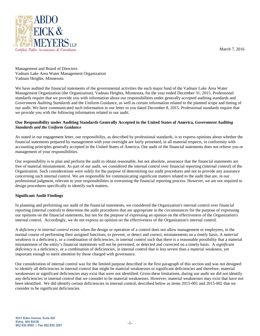March 7, 2016



Management and Board of Directors Vadnais Lake Area Water Management Organization Vadnais Heights, Minnesota

We have audited the financial statements of the governmental activities the each major fund of the Vadnais Lake Area Water Management Organization (the Organization), Vadnais Heights, Minnesota, for the year ended December 31, 2015. Professional standards require that we provide you with information about our responsibilities under generally accepted auditing standards and *Government Auditing Standards* and the Uniform Guidance, as well as certain information related to the planned scope and timing of our audit. We have communicated such information in our letter to you dated December 8, 2015. Professional standards require that we provide you with the following information related to our audit.

# **Our Responsibility under Auditing Standards Generally Accepted in the United States of America***, Government Auditing Standards and the Uniform Guidance*

As stated in our engagement letter, our responsibility, as described by professional standards, is to express opinions about whether the financial statements prepared by management with your oversight are fairly presented, in all material respects, in conformity with accounting principles generally accepted in the United States of America. Our audit of the financial statements does not relieve you or management of your responsibilities.

Our responsibility is to plan and perform the audit to obtain reasonable, but not absolute, assurance that the financial statements are free of material misstatement. As part of our audit, we considered the internal control over financial reporting (internal control) of the Organization. Such considerations were solely for the purpose of determining our audit procedures and not to provide any assurance concerning such internal control. We are responsible for communicating significant matters related to the audit that are, in our professional judgment, relevant to your responsibilities in overseeing the financial reporting process. However, we are not required to design procedures specifically to identify such matters.

# **Significant Audit Findings**

In planning and performing our audit of the financial statements, we considered the Organization's internal control over financial reporting (internal control) to determine the audit procedures that are appropriate in the circumstances for the purpose of expressing our opinions on the financial statements, but not for the purpose of expressing an opinion on the effectiveness of the Organization's internal control. Accordingly, we do not express an opinion on the effectiveness of the Organization's internal control.

A *deficiency in internal control* exists when the design or operation of a control does not allow management or employees, in the normal course of performing their assigned functions, to prevent, or detect and correct, misstatements on a timely basis. A *material weakness* is a deficiency, or a combination of deficiencies, in internal control such that there is a reasonable possibility that a material misstatement of the entity's financial statements will not be prevented, or detected and corrected on a timely basis. A *significant deficiency* is a deficiency, or a combination of deficiencies, in internal control that is less severe than a material weakness, yet important enough to merit attention by those charged with governance.

Our consideration of internal control was for the limited purpose described in the first paragraph of this section and was not designed to identify all deficiencies in internal control that might be material weaknesses or significant deficiencies and therefore, material weaknesses or significant deficiencies may exist that were not identified. Given these limitations, during our audit we did not identify any deficiencies in internal control that we consider to be material weaknesses. However, material weaknesses may exist that have not been identified. We did identify certain deficiencies in internal control, described below as items 2015-001 and 2015-002 that we consider to be significant deficiencies.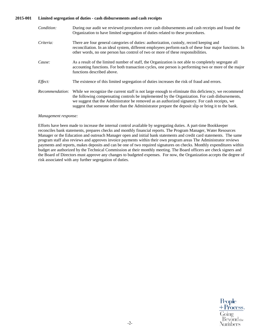#### **2015-001 Limited segregation of duties - cash disbursements and cash receipts**

| Condition:      | During our audit we reviewed procedures over cash disbursements and cash receipts and found the<br>Organization to have limited segregation of duties related to these procedures.                                                                                                                                                                                                                              |
|-----------------|-----------------------------------------------------------------------------------------------------------------------------------------------------------------------------------------------------------------------------------------------------------------------------------------------------------------------------------------------------------------------------------------------------------------|
| Criteria:       | There are four general categories of duties: authorization, custody, record keeping and<br>reconciliation. In an ideal system, different employees perform each of these four major functions. In<br>other words, no one person has control of two or more of these responsibilities.                                                                                                                           |
| Cause:          | As a result of the limited number of staff, the Organization is not able to completely segregate all<br>accounting functions. For both transaction cycles, one person is performing two or more of the major<br>functions described above.                                                                                                                                                                      |
| <i>Effect:</i>  | The existence of this limited segregation of duties increases the risk of fraud and errors.                                                                                                                                                                                                                                                                                                                     |
| Recommendation: | While we recognize the current staff is not large enough to eliminate this deficiency, we recommend<br>the following compensating controls be implemented by the Organization. For cash disbursements,<br>we suggest that the Administrator be removed as an authorized signatory. For cash receipts, we<br>suggest that someone other than the Administrator prepare the deposit slip or bring it to the bank. |

#### *Management response:*

Efforts have been made to increase the internal control available by segregating duties. A part-time Bookkeeper reconciles bank statements, prepares checks and monthly financial reports. The Program Manager, Water Resources Manager or the Education and outreach Manager open and initial bank statements and credit card statements. The same program staff also reviews and approves invoice payments within their own program areas The Administrator reviews payments and reports, makes deposits and can be one of two required signatures on checks. Monthly expenditures within budget are authorized by the Technical Commission at their monthly meeting. The Board officers are check signers and the Board of Directors must approve any changes to budgeted expenses. For now, the Organization accepts the degree of risk associated with any further segregation of duties.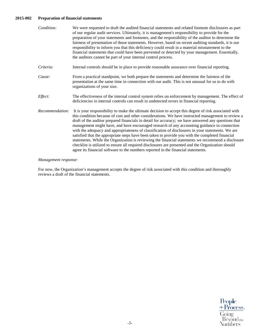# **2015-002 Preparation of financial statements**

| Condition:      | We were requested to draft the audited financial statements and related footnote disclosures as part<br>of our regular audit services. Ultimately, it is management's responsibility to provide for the<br>preparation of your statements and footnotes, and the responsibility of the auditor to determine the<br>fairness of presentation of those statements. However, based on recent auditing standards, it is our<br>responsibility to inform you that this deficiency could result in a material misstatement to the<br>financial statements that could have been prevented or detected by your management. Essentially,<br>the auditors cannot be part of your internal control process.                                                                                                                                                                                                                              |
|-----------------|-------------------------------------------------------------------------------------------------------------------------------------------------------------------------------------------------------------------------------------------------------------------------------------------------------------------------------------------------------------------------------------------------------------------------------------------------------------------------------------------------------------------------------------------------------------------------------------------------------------------------------------------------------------------------------------------------------------------------------------------------------------------------------------------------------------------------------------------------------------------------------------------------------------------------------|
| Criteria:       | Internal controls should be in place to provide reasonable assurance over financial reporting.                                                                                                                                                                                                                                                                                                                                                                                                                                                                                                                                                                                                                                                                                                                                                                                                                                |
| Cause:          | From a practical standpoint, we both prepare the statements and determine the fairness of the<br>presentation at the same time in connection with our audit. This is not unusual for us to do with<br>organizations of your size.                                                                                                                                                                                                                                                                                                                                                                                                                                                                                                                                                                                                                                                                                             |
| Effect:         | The effectiveness of the internal control system relies on enforcement by management. The effect of<br>deficiencies in internal controls can result in undetected errors in financial reporting.                                                                                                                                                                                                                                                                                                                                                                                                                                                                                                                                                                                                                                                                                                                              |
| Recommendation: | It is your responsibility to make the ultimate decision to accept this degree of risk associated with<br>this condition because of cost and other considerations. We have instructed management to review a<br>draft of the auditor prepared financials in detail for accuracy; we have answered any questions that<br>management might have, and have encouraged research of any accounting guidance in connection<br>with the adequacy and appropriateness of classification of disclosures in your statements. We are<br>satisfied that the appropriate steps have been taken to provide you with the completed financial<br>statements. While the Organization is reviewing the financial statements we recommend a disclosure<br>checklist is utilized to ensure all required disclosures are presented and the Organization should<br>agree its financial software to the numbers reported in the financial statements. |

# *Management response:*

For now, the Organization's management accepts the degree of risk associated with this condition and thoroughly reviews a draft of the financial statements.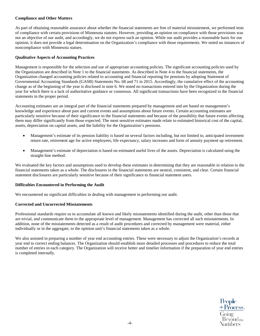#### **Compliance and Other Matters**

As part of obtaining reasonable assurance about whether the financial statements are free of material misstatement, we performed tests of compliance with certain provisions of Minnesota statutes. However, providing an opinion on compliance with those provisions was not an objective of our audit, and accordingly, we do not express such an opinion. While our audit provides a reasonable basis for our opinion, it does not provide a legal determination on the Organization's compliance with those requirements. We noted no instances of noncompliance with Minnesota statues.

#### **Qualitative Aspects of Accounting Practices**

Management is responsible for the selection and use of appropriate accounting policies. The significant accounting policies used by the Organization are described in Note 1 to the financial statements. As described in Note 4 to the financial statements, the Organization changed accounting policies related to accounting and financial reporting for pensions by adopting Statement of Governmental Accounting Standards (GASB) Statements No. 68 and 71 in 2015. Accordingly, the cumulative effect of the accounting change as of the beginning of the year is disclosed in note 6. We noted no transactions entered into by the Organization during the year for which there is a lack of authoritative guidance or consensus. All significant transactions have been recognized in the financial statements in the proper period.

Accounting estimates are an integral part of the financial statements prepared by management and are based on management's knowledge and experience about past and current events and assumptions about future events. Certain accounting estimates are particularly sensitive because of their significance to the financial statements and because of the possibility that future events affecting them may differ significantly from those expected. The most sensitive estimates made relate to estimated historical cost of the capital, assets, depreciation on capital assets, and the liability for the Organization's pensions.

- Management's estimate of its pension liability is based on several factors including, but not limited to, anticipated investment return rate, retirement age for active employees, life expectancy, salary increases and form of annuity payment up retirement.
- Management's estimate of depreciation is based on estimated useful lives of the assets. Depreciation is calculated using the straight-line method.

We evaluated the key factors and assumptions used to develop these estimates in determining that they are reasonable in relation to the financial statements taken as a whole. The disclosures in the financial statements are neutral, consistent, and clear. Certain financial statement disclosures are particularly sensitive because of their significance to financial statement users.

#### **Difficulties Encountered in Performing the Audit**

We encountered no significant difficulties in dealing with management in performing our audit.

#### **Corrected and Uncorrected Misstatements**

Professional standards require us to accumulate all known and likely misstatements identified during the audit, other than those that are trivial, and communicate them to the appropriate level of management. Management has corrected all such misstatements. In addition, none of the misstatements detected as a result of audit procedures and corrected by management were material, either individually or in the aggregate, to the opinion unit's financial statements taken as a whole.

We also assisted in preparing a number of year end accounting entries. These were necessary to adjust the Organization's records at year end to correct ending balances. The Organization should establish more detailed processes and procedures to reduce the total number of entries in each category. The Organization will receive better and timelier information if the preparation of year end entries is completed internally.

> People  $+$ Process.  $\frac{1188}{20}$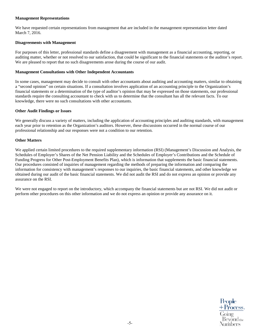#### **Management Representations**

We have requested certain representations from management that are included in the management representation letter dated March 7, 2016.

#### **Disagreements with Management**

For purposes of this letter, professional standards define a disagreement with management as a financial accounting, reporting, or auditing matter, whether or not resolved to our satisfaction, that could be significant to the financial statements or the auditor's report. We are pleased to report that no such disagreements arose during the course of our audit.

#### **Management Consultations with Other Independent Accountants**

In some cases, management may decide to consult with other accountants about auditing and accounting matters, similar to obtaining a "second opinion" on certain situations. If a consultation involves application of an accounting principle to the Organization's financial statements or a determination of the type of auditor's opinion that may be expressed on those statements, our professional standards require the consulting accountant to check with us to determine that the consultant has all the relevant facts. To our knowledge, there were no such consultations with other accountants.

#### **Other Audit Findings or Issues**

We generally discuss a variety of matters, including the application of accounting principles and auditing standards, with management each year prior to retention as the Organization's auditors. However, these discussions occurred in the normal course of our professional relationship and our responses were not a condition to our retention.

#### **Other Matters**

We applied certain limited procedures to the required supplementary information (RSI) (Management's Discussion and Analysis, the Schedules of Employer's Shares of the Net Pension Liability and the Schedules of Employer's Contributions and the Schedule of Funding Progress for Other Post-Employment Benefits Plan), which is information that supplements the basic financial statements. Our procedures consisted of inquiries of management regarding the methods of preparing the information and comparing the information for consistency with management's responses to our inquiries, the basic financial statements, and other knowledge we obtained during our audit of the basic financial statements. We did not audit the RSI and do not express an opinion or provide any assurance on the RSI.

We were not engaged to report on the introductory, which accompany the financial statements but are not RSI. We did not audit or perform other procedures on this other information and we do not express an opinion or provide any assurance on it.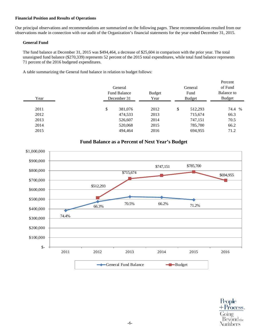#### **Financial Position and Results of Operations**

Our principal observations and recommendations are summarized on the following pages. These recommendations resulted from our observations made in connection with our audit of the Organization's financial statements for the year ended December 31, 2015.

#### **General Fund**

The fund balance at December 31, 2015 was \$494,464, a decrease of \$25,604 in comparison with the prior year. The total unassigned fund balance (\$270,339) represents 52 percent of the 2015 total expenditures, while total fund balance represents 71 percent of the 2016 budgeted expenditures.

A table summarizing the General fund balance in relation to budget follows:

| Year | General<br><b>Fund Balance</b><br><b>Budget</b><br>December 31 |      | General<br>Fund<br><b>Budget</b> | reiceilt<br>of Fund<br><b>Balance to</b><br><b>Budget</b> |  |
|------|----------------------------------------------------------------|------|----------------------------------|-----------------------------------------------------------|--|
| 2011 | \$<br>381,076                                                  | 2012 | \$<br>512,293                    | 74.4 %                                                    |  |
| 2012 | 474,533                                                        | 2013 | 715,674                          | 66.3                                                      |  |
| 2013 | 526,607                                                        | 2014 | 747,151                          | 70.5                                                      |  |
| 2014 | 520,068                                                        | 2015 | 785,700                          | 66.2                                                      |  |
| 2015 | 494.464                                                        | 2016 | 694.955                          | 71.2                                                      |  |



# **Fund Balance as a Percent of Next Year's Budget**

People  $+$ Process. <del>i</del>oino Bevond the Numbers

Percent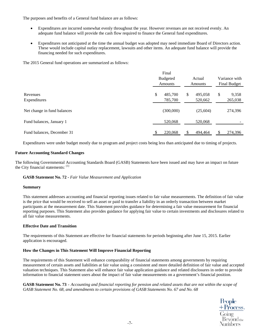The purposes and benefits of a General fund balance are as follows:

- Expenditures are incurred somewhat evenly throughout the year. However revenues are not received evenly. An adequate fund balance will provide the cash flow required to finance the General fund expenditures.
- Expenditures not anticipated at the time the annual budget was adopted may need immediate Board of Directors action. These would include capital outlay replacement, lawsuits and other items. An adequate fund balance will provide the financing needed for such expenditures.

The 2015 General fund operations are summarized as follows:

|                             |                            | Final     | Actual  |          |              | Variance with |
|-----------------------------|----------------------------|-----------|---------|----------|--------------|---------------|
|                             | <b>Budgeted</b><br>Amounts |           | Amounts |          | Final Budget |               |
| Revenues                    | \$                         | 485,700   | \$      | 495,058  | \$           | 9,358         |
| Expenditures                |                            | 785,700   |         | 520,662  |              | 265,038       |
| Net change in fund balances |                            | (300,000) |         | (25,604) |              | 274,396       |
| Fund balances, January 1    |                            | 520,068   |         | 520,068  |              |               |
| Fund balances, December 31  |                            | 220,068   |         | 494,464  |              | 274,396       |

Expenditures were under budget mostly due to program and project costs being less than anticipated due to timing of projects.

#### **Future Accounting Standard Changes**

The following Governmental Accounting Standards Board (GASB) Statements have been issued and may have an impact on future the City financial statements:  $(1)$ 

**GASB Statement No. 72 -** *Fair Value Measurement and Application*

#### **Summary**

This statement addresses accounting and financial reporting issues related to fair value measurements. The definition of fair value is the price that would be received to sell an asset or paid to transfer a liability in an orderly transaction between market participants at the measurement date. This Statement provides guidance for determining a fair value measurement for financial reporting purposes. This Statement also provides guidance for applying fair value to certain investments and disclosures related to all fair value measurements.

#### **Effective Date and Transition**

The requirements of this Statement are effective for financial statements for periods beginning after June 15, 2015. Earlier application is encouraged.

#### **How the Changes in This Statement Will Improve Financial Reporting**

The requirements of this Statement will enhance comparability of financial statements among governments by requiring measurement of certain assets and liabilities at fair value using a consistent and more detailed definition of fair value and accepted valuation techniques. This Statement also will enhance fair value application guidance and related disclosures in order to provide information to financial statement users about the impact of fair value measurements on a government's financial position.

**GASB Statement No. 73** - *Accounting and financial reporting for pension and related assets that are not within the scope of GASB Statement No. 68, and amendments to certain provisions of GASB Statements No. 67 and No. 68*

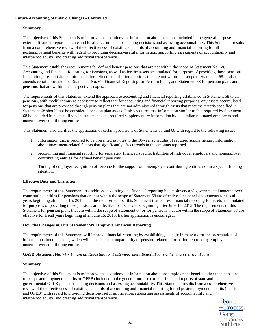#### **Summary**

The objective of this Statement is to improve the usefulness of information about pensions included in the general purpose external financial reports of state and local governments for making decisions and assessing accountability. This Statement results from a comprehensive review of the effectiveness of existing standards of accounting and financial reporting for all postemployment benefits with regard to providing decision-useful information, supporting assessments of accountability and interperiod equity, and creating additional transparency.

This Statement establishes requirements for defined benefit pensions that are not within the scope of Statement No. 68, Accounting and Financial Reporting for Pensions, as well as for the assets accumulated for purposes of providing those pensions. In addition, it establishes requirements for defined contribution pensions that are not within the scope of Statement 68. It also amends certain provisions of Statement No. 67, Financial Reporting for Pension Plans, and Statement 68 for pension plans and pensions that are within their respective scopes.

The requirements of this Statement extend the approach to accounting and financial reporting established in Statement 68 to all pensions, with modifications as necessary to reflect that for accounting and financial reporting purposes, any assets accumulated for pensions that are provided through pension plans that are not administered through trusts that meet the criteria specified in Statement 68 should not be considered pension plan assets. It also requires that information similar to that required by Statement 68 be included in notes to financial statements and required supplementary information by all similarly situated employers and nonemployer contributing entities.

This Statement also clarifies the application of certain provisions of Statements 67 and 68 with regard to the following issues:

- 1. Information that is required to be presented as notes to the 10-year schedules of required supplementary information about investment-related factors that significantly affect trends in the amounts reported.
- 2. Accounting and financial reporting for separately financed specific liabilities of individual employers and nonemployer contributing entities for defined benefit pensions.
- 3. Timing of employer recognition of revenue for the support of nonemployer contributing entities not in a special funding situation.

#### **Effective Date and Transition**

The requirements of this Statement that address accounting and financial reporting by employers and governmental nonemployer contributing entities for pensions that are not within the scope of Statement 68 are effective for financial statements for fiscal years beginning after June 15, 2016, and the requirements of this Statement that address financial reporting for assets accumulated for purposes of providing those pensions are effective for fiscal years beginning after June 15, 2015. The requirements of this Statement for pension plans that are within the scope of Statement 67 or for pensions that are within the scope of Statement 68 are effective for fiscal years beginning after June 15, 2015. Earlier application is encouraged.

#### **How the Changes in This Statement Will Improve Financial Reporting**

The requirements of this Statement will improve financial reporting by establishing a single framework for the presentation of information about pensions, which will enhance the comparability of pension-related information reported by employers and nonemployer contributing entities.

#### **GASB Statement No. 74** - *Financial Reporting for Postemployment Benefit Plans Other than Pension Plans*

#### **Summary**

The objective of this Statement is to improve the usefulness of information about postemployment benefits other than pensions (other postemployment benefits or OPEB) included in the general purpose external financial reports of state and local governmental OPEB plans for making decisions and assessing accountability. This Statement results from a comprehensive review of the effectiveness of existing standards of accounting and financial reporting for all postemployment benefits (pensions and OPEB) with regard to providing decision-useful information, supporting assessments of accountability and interperiod equity, and creating additional transparency.

People  $+$ Process.  $\overline{5}$ oing Bevond<sub>the</sub> Numbers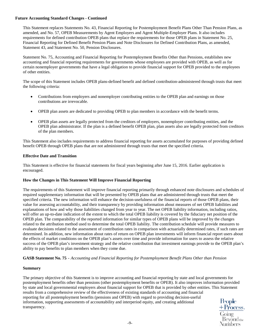This Statement replaces Statements No. 43, Financial Reporting for Postemployment Benefit Plans Other Than Pension Plans, as amended, and No. 57, OPEB Measurements by Agent Employers and Agent Multiple-Employer Plans. It also includes requirements for defined contribution OPEB plans that replace the requirements for those OPEB plans in Statement No. 25, Financial Reporting for Defined Benefit Pension Plans and Note Disclosures for Defined Contribution Plans, as amended, Statement 43, and Statement No. 50, Pension Disclosures.

Statement No. 75, Accounting and Financial Reporting for Postemployment Benefits Other than Pensions, establishes new accounting and financial reporting requirements for governments whose employees are provided with OPEB, as well as for certain nonemployer governments that have a legal obligation to provide financial support for OPEB provided to the employees of other entities.

The scope of this Statement includes OPEB plans-defined benefit and defined contribution-administered through trusts that meet the following criteria:

- Contributions from employers and nonemployer contributing entities to the OPEB plan and earnings on those contributions are irrevocable.
- OPEB plan assets are dedicated to providing OPEB to plan members in accordance with the benefit terms.
- OPEB plan assets are legally protected from the creditors of employers, nonemployer contributing entities, and the OPEB plan administrator. If the plan is a defined benefit OPEB plan, plan assets also are legally protected from creditors of the plan members.

This Statement also includes requirements to address financial reporting for assets accumulated for purposes of providing defined benefit OPEB through OPEB plans that are not administered through trusts that meet the specified criteria.

#### **Effective Date and Transition**

This Statement is effective for financial statements for fiscal years beginning after June 15, 2016. Earlier application is encouraged.

#### **How the Changes in This Statement Will Improve Financial Reporting**

The requirements of this Statement will improve financial reporting primarily through enhanced note disclosures and schedules of required supplementary information that will be presented by OPEB plans that are administered through trusts that meet the specified criteria. The new information will enhance the decision-usefulness of the financial reports of those OPEB plans, their value for assessing accountability, and their transparency by providing information about measures of net OPEB liabilities and explanations of how and why those liabilities changed from year to year. The net OPEB liability information, including ratios, will offer an up-to-date indication of the extent to which the total OPEB liability is covered by the fiduciary net position of the OPEB plan. The comparability of the reported information for similar types of OPEB plans will be improved by the changes related to the attribution method used to determine the total OPEB liability. The contribution schedule will provide measures to evaluate decisions related to the assessment of contribution rates in comparison with actuarially determined rates, if such rates are determined. In addition, new information about rates of return on OPEB plan investments will inform financial report users about the effects of market conditions on the OPEB plan's assets over time and provide information for users to assess the relative success of the OPEB plan's investment strategy and the relative contribution that investment earnings provide to the OPEB plan's ability to pay benefits to plan members when they come due.

**GASB Statement No. 75** - *Accounting and Financial Reporting for Postemployment Benefit Plans Other than Pension*

#### **Summary**

The primary objective of this Statement is to improve accounting and financial reporting by state and local governments for postemployment benefits other than pensions (other postemployment benefits or OPEB). It also improves information provided by state and local governmental employers about financial support for OPEB that is provided by other entities. This Statement results from a comprehensive review of the effectiveness of existing standards of accounting and financial reporting for all postemployment benefits (pensions and OPEB) with regard to providing decision-useful People information, supporting assessments of accountability and interperiod equity, and creating additional transparency.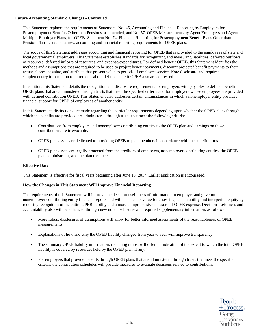This Statement replaces the requirements of Statements No. 45, Accounting and Financial Reporting by Employers for Postemployment Benefits Other than Pensions, as amended, and No. 57, OPEB Measurements by Agent Employers and Agent Multiple-Employer Plans, for OPEB. Statement No. 74, Financial Reporting for Postemployment Benefit Plans Other than Pension Plans, establishes new accounting and financial reporting requirements for OPEB plans.

The scope of this Statement addresses accounting and financial reporting for OPEB that is provided to the employees of state and local governmental employers. This Statement establishes standards for recognizing and measuring liabilities, deferred outflows of resources, deferred inflows of resources, and expense/expenditures. For defined benefit OPEB, this Statement identifies the methods and assumptions that are required to be used to project benefit payments, discount projected benefit payments to their actuarial present value, and attribute that present value to periods of employee service. Note disclosure and required supplementary information requirements about defined benefit OPEB also are addressed.

In addition, this Statement details the recognition and disclosure requirements for employers with payables to defined benefit OPEB plans that are administered through trusts that meet the specified criteria and for employers whose employees are provided with defined contribution OPEB. This Statement also addresses certain circumstances in which a nonemployer entity provides financial support for OPEB of employees of another entity.

In this Statement, distinctions are made regarding the particular requirements depending upon whether the OPEB plans through which the benefits are provided are administered through trusts that meet the following criteria:

- Contributions from employers and nonemployer contributing entities to the OPEB plan and earnings on those contributions are irrevocable.
- OPEB plan assets are dedicated to providing OPEB to plan members in accordance with the benefit terms.
- OPEB plan assets are legally protected from the creditors of employers, nonemployer contributing entities, the OPEB plan administrator, and the plan members.

# **Effective Date**

This Statement is effective for fiscal years beginning after June 15, 2017. Earlier application is encouraged.

#### **How the Changes in This Statement Will Improve Financial Reporting**

The requirements of this Statement will improve the decision-usefulness of information in employer and governmental nonemployer contributing entity financial reports and will enhance its value for assessing accountability and interperiod equity by requiring recognition of the entire OPEB liability and a more comprehensive measure of OPEB expense. Decision-usefulness and accountability also will be enhanced through new note disclosures and required supplementary information, as follows:

- More robust disclosures of assumptions will allow for better informed assessments of the reasonableness of OPEB measurements.
- Explanations of how and why the OPEB liability changed from year to year will improve transparency.
- The summary OPEB liability information, including ratios, will offer an indication of the extent to which the total OPEB liability is covered by resources held by the OPEB plan, if any.
- For employers that provide benefits through OPEB plans that are administered through trusts that meet the specified criteria, the contribution schedules will provide measures to evaluate decisions related to contributions.

People  $+$  Process.  $T^{\text{O}}$  $B$ evond<sub>the</sub> Numbers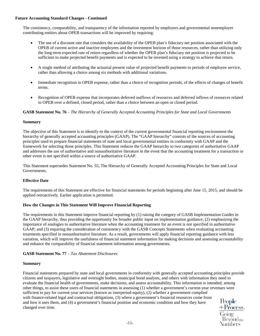The consistency, comparability, and transparency of the information reported by employers and governmental nonemployer contributing entities about OPEB transactions will be improved by requiring:

- The use of a discount rate that considers the availability of the OPEB plan's fiduciary net position associated with the OPEB of current active and inactive employees and the investment horizon of those resources, rather than utilizing only the long-term expected rate of return regardless of whether the OPEB plan's fiduciary net position is projected to be sufficient to make projected benefit payments and is expected to be invested using a strategy to achieve that return.
- A single method of attributing the actuarial present value of projected benefit payments to periods of employee service, rather than allowing a choice among six methods with additional variations.
- Immediate recognition in OPEB expense, rather than a choice of recognition periods, of the effects of changes of benefit terms.
- Recognition of OPEB expense that incorporates deferred outflows of resources and deferred inflows of resources related to OPEB over a defined, closed period, rather than a choice between an open or closed period.

**GASB Statement No. 76** - *The Hierarchy of Generally Accepted Accounting Principles for State and Local Governments*

#### **Summary**

The objective of this Statement is to identify-in the context of the current governmental financial reporting environment-the hierarchy of generally accepted accounting principles (GAAP). The "GAAP hierarchy" consists of the sources of accounting principles used to prepare financial statements of state and local governmental entities in conformity with GAAP and the framework for selecting those principles. This Statement reduces the GAAP hierarchy to two categories of authoritative GAAP and addresses the use of authoritative and nonauthoritative literature in the event that the accounting treatment for a transaction or other event is not specified within a source of authoritative GAAP.

This Statement supersedes Statement No. 55, The Hierarchy of Generally Accepted Accounting Principles for State and Local Governments.

#### **Effective Date**

The requirements of this Statement are effective for financial statements for periods beginning after June 15, 2015, and should be applied retroactively. Earlier application is permitted.

#### **How the Changes in This Statement Will Improve Financial Reporting**

The requirements in this Statement improve financial reporting by (1) raising the category of GASB Implementation Guides in the GAAP hierarchy, thus providing the opportunity for broader public input on implementation guidance; (2) emphasizing the importance of analogies to authoritative literature when the accounting treatment for an event is not specified in authoritative GAAP; and (3) requiring the consideration of consistency with the GASB Concepts Statements when evaluating accounting treatments specified in nonauthoritative literature. As a result, governments will apply financial reporting guidance with less variation, which will improve the usefulness of financial statement information for making decisions and assessing accountability and enhance the comparability of financial statement information among governments.

# **GASB Statement No. 77** - *Tax Abatement Disclosures*

#### **Summary**

Financial statements prepared by state and local governments in conformity with generally accepted accounting principles provide citizens and taxpayers, legislative and oversight bodies, municipal bond analysts, and others with information they need to evaluate the financial health of governments, make decisions, and assess accountability. This information is intended, among other things, to assist these users of financial statements in assessing (1) whether a government's current-year revenues were sufficient to pay for current-year services (known as interperiod equity), (2) whether a government complied with finance-related legal and contractual obligations, (3) where a government's financial resources come from People and how it uses them, and (4) a government's financial position and economic condition and how they have  $+$  Process. changed over time.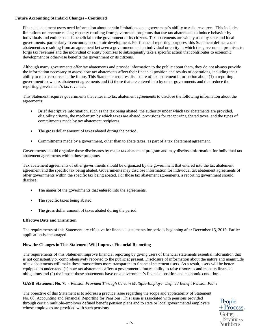Financial statement users need information about certain limitations on a government's ability to raise resources. This includes limitations on revenue-raising capacity resulting from government programs that use tax abatements to induce behavior by individuals and entities that is beneficial to the government or its citizens. Tax abatements are widely used by state and local governments, particularly to encourage economic development. For financial reporting purposes, this Statement defines a tax abatement as resulting from an agreement between a government and an individual or entity in which the government promises to forgo tax revenues and the individual or entity promises to subsequently take a specific action that contributes to economic development or otherwise benefits the government or its citizens.

Although many governments offer tax abatements and provide information to the public about them, they do not always provide the information necessary to assess how tax abatements affect their financial position and results of operations, including their ability to raise resources in the future. This Statement requires disclosure of tax abatement information about (1) a reporting government's own tax abatement agreements and (2) those that are entered into by other governments and that reduce the reporting government's tax revenues.

This Statement requires governments that enter into tax abatement agreements to disclose the following information about the agreements:

- Brief descriptive information, such as the tax being abated, the authority under which tax abatements are provided, eligibility criteria, the mechanism by which taxes are abated, provisions for recapturing abated taxes, and the types of commitments made by tax abatement recipients.
- The gross dollar amount of taxes abated during the period.
- Commitments made by a government, other than to abate taxes, as part of a tax abatement agreement.

Governments should organize those disclosures by major tax abatement program and may disclose information for individual tax abatement agreements within those programs.

Tax abatement agreements of other governments should be organized by the government that entered into the tax abatement agreement and the specific tax being abated. Governments may disclose information for individual tax abatement agreements of other governments within the specific tax being abated. For those tax abatement agreements, a reporting government should disclose:

- The names of the governments that entered into the agreements.
- The specific taxes being abated.
- The gross dollar amount of taxes abated during the period.

#### **Effective Date and Transition**

The requirements of this Statement are effective for financial statements for periods beginning after December 15, 2015. Earlier application is encouraged.

#### **How the Changes in This Statement Will Improve Financial Reporting**

The requirements of this Statement improve financial reporting by giving users of financial statements essential information that is not consistently or comprehensively reported to the public at present. Disclosure of information about the nature and magnitude of tax abatements will make these transactions more transparent to financial statement users. As a result, users will be better equipped to understand (1) how tax abatements affect a government's future ability to raise resources and meet its financial obligations and (2) the impact those abatements have on a government's financial position and economic condition.

#### **GASB Statement No. 78** - *Pension Provided Through Certain Multiple-Employer Defined Benefit Pension Plans*

The objective of this Statement is to address a practice issue regarding the scope and applicability of Statement No. 68, Accounting and Financial Reporting for Pensions. This issue is associated with pensions provided through certain multiple-employer defined benefit pension plans and to state or local governmental employers whose employees are provided with such pensions.

People  $+$  Process. Numbers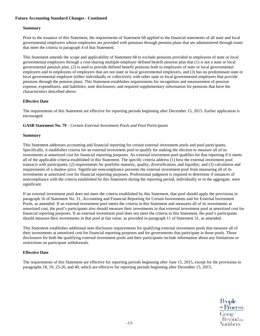#### **Summary**

Prior to the issuance of this Statement, the requirements of Statement 68 applied to the financial statements of all state and local governmental employers whose employees are provided with pensions through pension plans that are administered through trusts that meet the criteria in paragraph 4 of that Statement.

This Statement amends the scope and applicability of Statement 68 to exclude pensions provided to employees of state or local governmental employers through a cost-sharing multiple-employer defined benefit pension plan that (1) is not a state or local governmental pension plan, (2) is used to provide defined benefit pensions both to employees of state or local governmental employers and to employees of employers that are not state or local governmental employers, and (3) has no predominant state or local governmental employer (either individually or collectively with other state or local governmental employers that provide pensions through the pension plan). This Statement establishes requirements for recognition and measurement of pension expense, expenditures, and liabilities; note disclosures; and required supplementary information for pensions that have the characteristics described above.

# **Effective Date**

The requirements of this Statement are effective for reporting periods beginning after December 15, 2015. Earlier application is encouraged.

#### **GASB Statement No. 79** - *Certain External Investment Pools and Pool Participants*

#### **Summary**

This Statement addresses accounting and financial reporting for certain external investment pools and pool participants. Specifically, it establishes criteria for an external investment pool to qualify for making the election to measure all of its investments at amortized cost for financial reporting purposes. An external investment pool qualifies for that reporting if it meets all of the applicable criteria established in this Statement. The specific criteria address (1) how the external investment pool transacts with participants; (2) requirements for portfolio maturity, quality, diversification, and liquidity; and (3) calculation and requirements of a shadow price. Significant noncompliance prevents the external investment pool from measuring all of its investments at amortized cost for financial reporting purposes. Professional judgment is required to determine if instances of noncompliance with the criteria established by this Statement during the reporting period, individually or in the aggregate, were significant.

If an external investment pool does not meet the criteria established by this Statement, that pool should apply the provisions in paragraph 16 of Statement No. 31, Accounting and Financial Reporting for Certain Investments and for External Investment Pools, as amended. If an external investment pool meets the criteria in this Statement and measures all of its investments at amortized cost, the pool's participants also should measure their investments in that external investment pool at amortized cost for financial reporting purposes. If an external investment pool does not meet the criteria in this Statement, the pool's participants should measure their investments in that pool at fair value, as provided in paragraph 11 of Statement 31, as amended.

This Statement establishes additional note disclosure requirements for qualifying external investment pools that measure all of their investments at amortized cost for financial reporting purposes and for governments that participate in those pools. Those disclosures for both the qualifying external investment pools and their participants include information about any limitations or restrictions on participant withdrawals.

#### **Effective Date**

The requirements of this Statement are effective for reporting periods beginning after June 15, 2015, except for the provisions in paragraphs 18, 19, 23-26, and 40, which are effective for reporting periods beginning after December 15, 2015.

> People  $\pm \mathrm{Process}.$  $\overline{\text{Going}}$